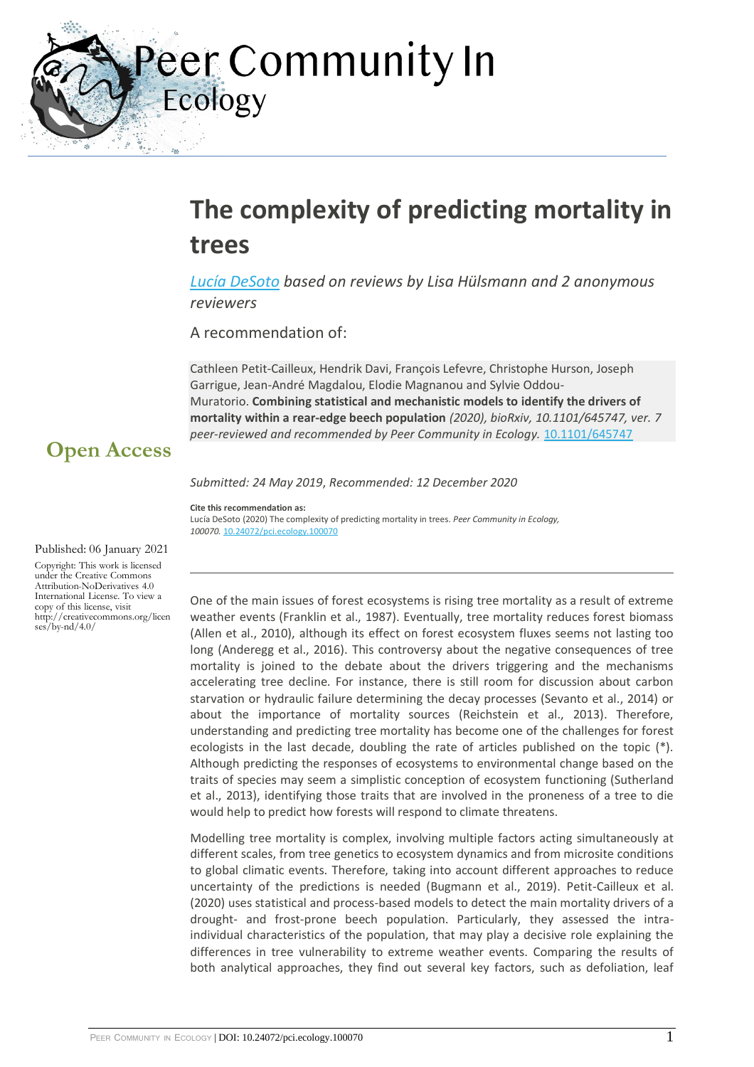eer Community In Ecology

### **The complexity of predicting mortality in trees**

*[Lucía DeSoto](https://ecology.peercommunityin.org/public/viewUserCard?userId=105) based on reviews by Lisa Hülsmann and 2 anonymous reviewers*

A recommendation of:

Cathleen Petit-Cailleux, Hendrik Davi, François Lefevre, Christophe Hurson, Joseph Garrigue, Jean-André Magdalou, Elodie Magnanou and Sylvie Oddou-Muratorio. **Combining statistical and mechanistic models to identify the drivers of mortality within a rear-edge beech population** *(2020), bioRxiv, 10.1101/645747, ver. 7 peer-reviewed and recommended by Peer Community in Ecology.* [10.1101/645747](https://doi.org/10.1101/645747)

### **Open Access**

*Submitted: 24 May 2019*, *Recommended: 12 December 2020*

**Cite this recommendation as:** Lucía DeSoto (2020) The complexity of predicting mortality in trees. *Peer Community in Ecology, 100070.* [10.24072/pci.ecology.100070](https://doi.org/10.24072/pci.ecology.100070)

#### Published: 06 January 2021

Copyright: This work is licensed under the Creative Commons Attribution-NoDerivatives 4.0 International License. To view a copy of this license, visit http://creativecommons.org/licen  $\frac{\text{ses}}{\text{b}}$ /by-nd/4.0/

One of the main issues of forest ecosystems is rising tree mortality as a result of extreme weather events (Franklin et al., 1987). Eventually, tree mortality reduces forest biomass (Allen et al., 2010), although its effect on forest ecosystem fluxes seems not lasting too long (Anderegg et al., 2016). This controversy about the negative consequences of tree mortality is joined to the debate about the drivers triggering and the mechanisms accelerating tree decline. For instance, there is still room for discussion about carbon starvation or hydraulic failure determining the decay processes (Sevanto et al., 2014) or about the importance of mortality sources (Reichstein et al., 2013). Therefore, understanding and predicting tree mortality has become one of the challenges for forest ecologists in the last decade, doubling the rate of articles published on the topic  $(*)$ . Although predicting the responses of ecosystems to environmental change based on the traits of species may seem a simplistic conception of ecosystem functioning (Sutherland et al., 2013), identifying those traits that are involved in the proneness of a tree to die would help to predict how forests will respond to climate threatens.

Modelling tree mortality is complex, involving multiple factors acting simultaneously at different scales, from tree genetics to ecosystem dynamics and from microsite conditions to global climatic events. Therefore, taking into account different approaches to reduce uncertainty of the predictions is needed (Bugmann et al., 2019). Petit-Cailleux et al. (2020) uses statistical and process-based models to detect the main mortality drivers of a drought- and frost-prone beech population. Particularly, they assessed the intraindividual characteristics of the population, that may play a decisive role explaining the differences in tree vulnerability to extreme weather events. Comparing the results of both analytical approaches, they find out several key factors, such as defoliation, leaf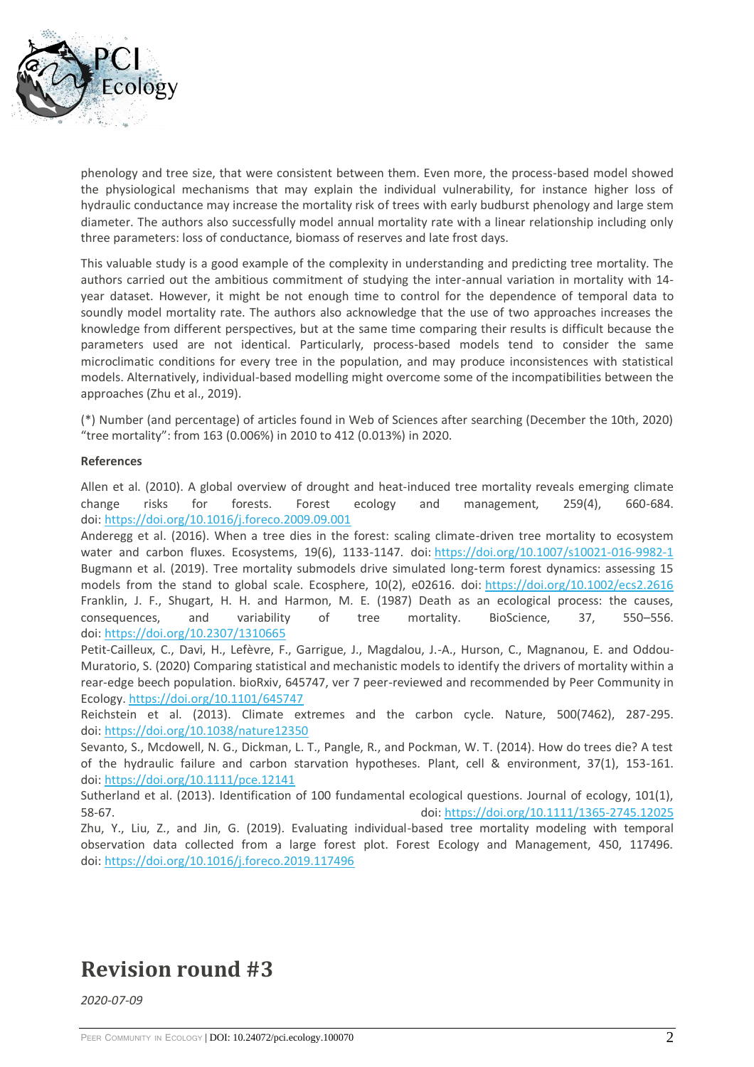

phenology and tree size, that were consistent between them. Even more, the process-based model showed the physiological mechanisms that may explain the individual vulnerability, for instance higher loss of hydraulic conductance may increase the mortality risk of trees with early budburst phenology and large stem diameter. The authors also successfully model annual mortality rate with a linear relationship including only three parameters: loss of conductance, biomass of reserves and late frost days.

This valuable study is a good example of the complexity in understanding and predicting tree mortality. The authors carried out the ambitious commitment of studying the inter-annual variation in mortality with 14 year dataset. However, it might be not enough time to control for the dependence of temporal data to soundly model mortality rate. The authors also acknowledge that the use of two approaches increases the knowledge from different perspectives, but at the same time comparing their results is difficult because the parameters used are not identical. Particularly, process-based models tend to consider the same microclimatic conditions for every tree in the population, and may produce inconsistences with statistical models. Alternatively, individual-based modelling might overcome some of the incompatibilities between the approaches (Zhu et al., 2019).

(\*) Number (and percentage) of articles found in Web of Sciences after searching (December the 10th, 2020) "tree mortality": from 163 (0.006%) in 2010 to 412 (0.013%) in 2020.

#### **References**

Allen et al. (2010). A global overview of drought and heat-induced tree mortality reveals emerging climate change risks for forests. Forest ecology and management, 259(4), 660-684. doi: <https://doi.org/10.1016/j.foreco.2009.09.001>

Anderegg et al. (2016). When a tree dies in the forest: scaling climate-driven tree mortality to ecosystem water and carbon fluxes. Ecosystems, 19(6), 1133-1147. doi: <https://doi.org/10.1007/s10021-016-9982-1> Bugmann et al. (2019). Tree mortality submodels drive simulated long‐term forest dynamics: assessing 15 models from the stand to global scale. Ecosphere, 10(2), e02616. doi: <https://doi.org/10.1002/ecs2.2616> Franklin, J. F., Shugart, H. H. and Harmon, M. E. (1987) Death as an ecological process: the causes, consequences, and variability of tree mortality. BioScience, 37, 550–556. doi: <https://doi.org/10.2307/1310665>

Petit-Cailleux, C., Davi, H., Lefèvre, F., Garrigue, J., Magdalou, J.-A., Hurson, C., Magnanou, E. and Oddou-Muratorio, S. (2020) Comparing statistical and mechanistic models to identify the drivers of mortality within a rear-edge beech population. bioRxiv, 645747, ver 7 peer-reviewed and recommended by Peer Community in Ecology. <https://doi.org/10.1101/645747>

Reichstein et al. (2013). Climate extremes and the carbon cycle. Nature, 500(7462), 287-295. doi: <https://doi.org/10.1038/nature12350>

Sevanto, S., Mcdowell, N. G., Dickman, L. T., Pangle, R., and Pockman, W. T. (2014). How do trees die? A test of the hydraulic failure and carbon starvation hypotheses. Plant, cell & environment, 37(1), 153-161. doi: <https://doi.org/10.1111/pce.12141>

Sutherland et al. (2013). Identification of 100 fundamental ecological questions. Journal of ecology, 101(1), 58-67. doi: <https://doi.org/10.1111/1365-2745.12025>

Zhu, Y., Liu, Z., and Jin, G. (2019). Evaluating individual-based tree mortality modeling with temporal observation data collected from a large forest plot. Forest Ecology and Management, 450, 117496. doi: <https://doi.org/10.1016/j.foreco.2019.117496>

### **Revision round #3**

*2020-07-09*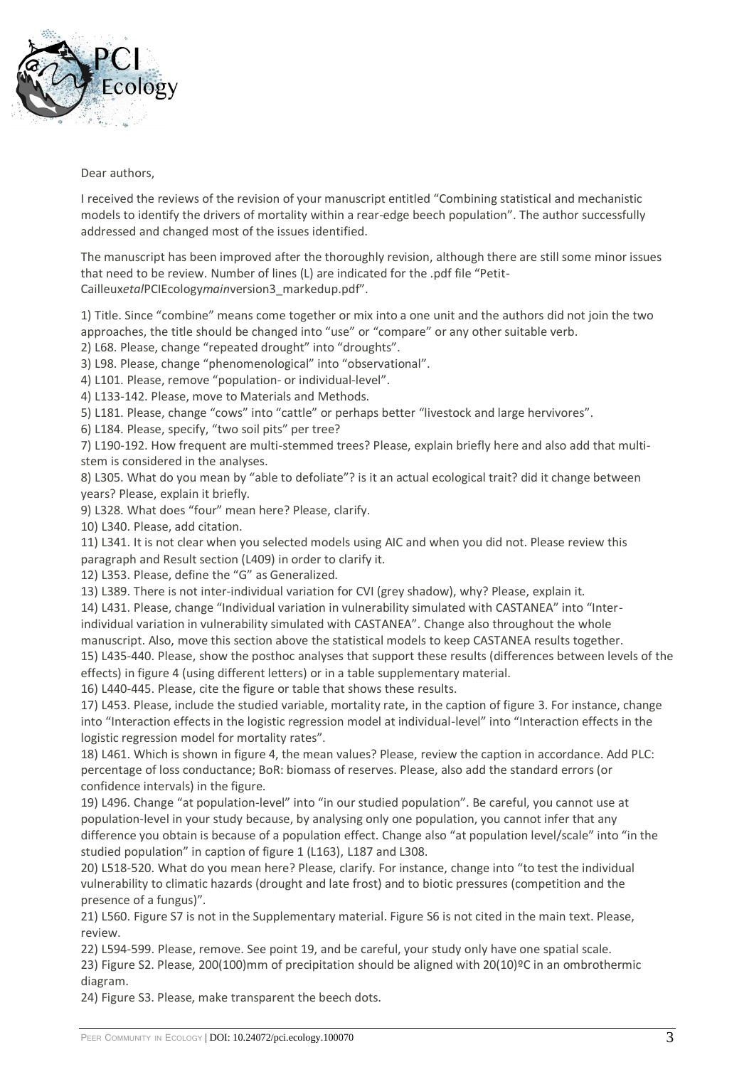

#### Dear authors,

I received the reviews of the revision of your manuscript entitled "Combining statistical and mechanistic models to identify the drivers of mortality within a rear-edge beech population". The author successfully addressed and changed most of the issues identified.

The manuscript has been improved after the thoroughly revision, although there are still some minor issues that need to be review. Number of lines (L) are indicated for the .pdf file "Petit-Cailleux*etal*PCIEcology*main*version3\_markedup.pdf".

1) Title. Since "combine" means come together or mix into a one unit and the authors did not join the two approaches, the title should be changed into "use" or "compare" or any other suitable verb.

2) L68. Please, change "repeated drought" into "droughts".

3) L98. Please, change "phenomenological" into "observational".

4) L101. Please, remove "population- or individual-level".

4) L133-142. Please, move to Materials and Methods.

5) L181. Please, change "cows" into "cattle" or perhaps better "livestock and large hervivores".

6) L184. Please, specify, "two soil pits" per tree?

7) L190-192. How frequent are multi-stemmed trees? Please, explain briefly here and also add that multistem is considered in the analyses.

8) L305. What do you mean by "able to defoliate"? is it an actual ecological trait? did it change between years? Please, explain it briefly.

9) L328. What does "four" mean here? Please, clarify.

10) L340. Please, add citation.

11) L341. It is not clear when you selected models using AIC and when you did not. Please review this paragraph and Result section (L409) in order to clarify it.

12) L353. Please, define the "G" as Generalized.

13) L389. There is not inter-individual variation for CVI (grey shadow), why? Please, explain it.

14) L431. Please, change "Individual variation in vulnerability simulated with CASTANEA" into "Interindividual variation in vulnerability simulated with CASTANEA". Change also throughout the whole manuscript. Also, move this section above the statistical models to keep CASTANEA results together.

15) L435-440. Please, show the posthoc analyses that support these results (differences between levels of the effects) in figure 4 (using different letters) or in a table supplementary material.

16) L440-445. Please, cite the figure or table that shows these results.

17) L453. Please, include the studied variable, mortality rate, in the caption of figure 3. For instance, change into "Interaction effects in the logistic regression model at individual-level" into "Interaction effects in the logistic regression model for mortality rates".

18) L461. Which is shown in figure 4, the mean values? Please, review the caption in accordance. Add PLC: percentage of loss conductance; BoR: biomass of reserves. Please, also add the standard errors (or confidence intervals) in the figure.

19) L496. Change "at population-level" into "in our studied population". Be careful, you cannot use at population-level in your study because, by analysing only one population, you cannot infer that any difference you obtain is because of a population effect. Change also "at population level/scale" into "in the studied population" in caption of figure 1 (L163), L187 and L308.

20) L518-520. What do you mean here? Please, clarify. For instance, change into "to test the individual vulnerability to climatic hazards (drought and late frost) and to biotic pressures (competition and the presence of a fungus)".

21) L560. Figure S7 is not in the Supplementary material. Figure S6 is not cited in the main text. Please, review.

22) L594-599. Please, remove. See point 19, and be careful, your study only have one spatial scale. 23) Figure S2. Please, 200(100)mm of precipitation should be aligned with 20(10)ºC in an ombrothermic diagram.

24) Figure S3. Please, make transparent the beech dots.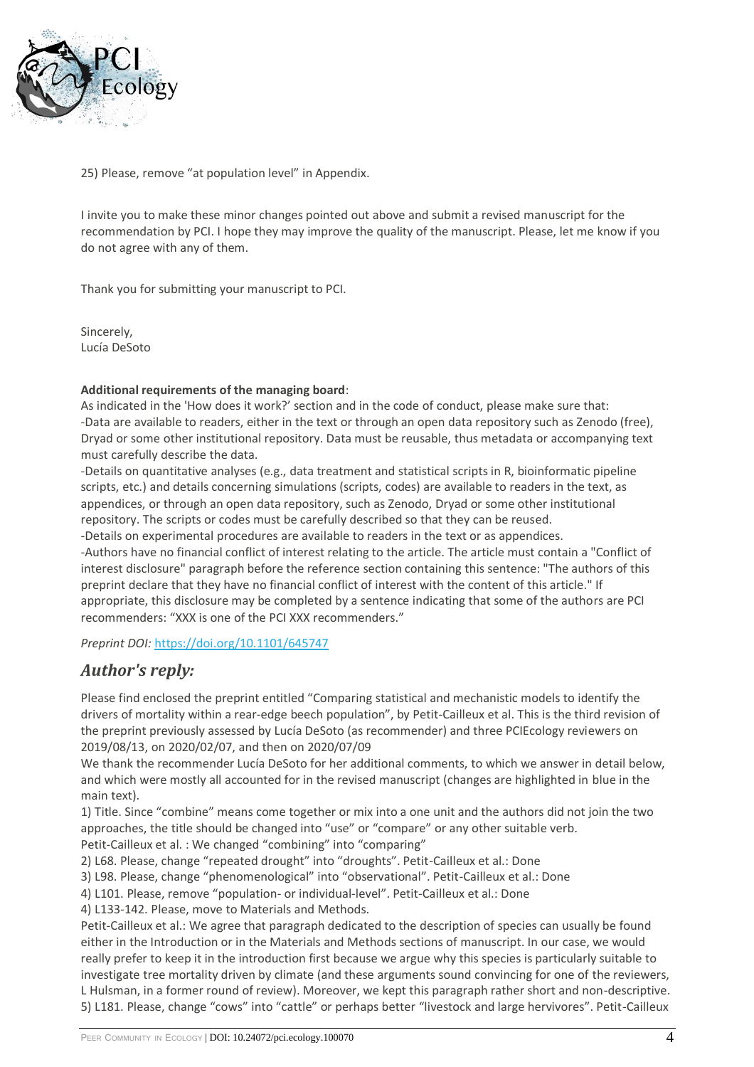

25) Please, remove "at population level" in Appendix.

I invite you to make these minor changes pointed out above and submit a revised manuscript for the recommendation by PCI. I hope they may improve the quality of the manuscript. Please, let me know if you do not agree with any of them.

Thank you for submitting your manuscript to PCI.

Sincerely, Lucía DeSoto

#### **Additional requirements of the managing board**:

As indicated in the 'How does it work?' section and in the code of conduct, please make sure that: -Data are available to readers, either in the text or through an open data repository such as Zenodo (free), Dryad or some other institutional repository. Data must be reusable, thus metadata or accompanying text must carefully describe the data.

-Details on quantitative analyses (e.g., data treatment and statistical scripts in R, bioinformatic pipeline scripts, etc.) and details concerning simulations (scripts, codes) are available to readers in the text, as appendices, or through an open data repository, such as Zenodo, Dryad or some other institutional repository. The scripts or codes must be carefully described so that they can be reused.

-Details on experimental procedures are available to readers in the text or as appendices.

-Authors have no financial conflict of interest relating to the article. The article must contain a "Conflict of interest disclosure" paragraph before the reference section containing this sentence: "The authors of this preprint declare that they have no financial conflict of interest with the content of this article." If appropriate, this disclosure may be completed by a sentence indicating that some of the authors are PCI recommenders: "XXX is one of the PCI XXX recommenders."

*Preprint DOI:* <https://doi.org/10.1101/645747>

### *Author's reply:*

Please find enclosed the preprint entitled "Comparing statistical and mechanistic models to identify the drivers of mortality within a rear-edge beech population", by Petit-Cailleux et al. This is the third revision of the preprint previously assessed by Lucía DeSoto (as recommender) and three PCIEcology reviewers on 2019/08/13, on 2020/02/07, and then on 2020/07/09

We thank the recommender Lucía DeSoto for her additional comments, to which we answer in detail below, and which were mostly all accounted for in the revised manuscript (changes are highlighted in blue in the main text).

1) Title. Since "combine" means come together or mix into a one unit and the authors did not join the two approaches, the title should be changed into "use" or "compare" or any other suitable verb. Petit-Cailleux et al. : We changed "combining" into "comparing"

2) L68. Please, change "repeated drought" into "droughts". Petit-Cailleux et al.: Done

3) L98. Please, change "phenomenological" into "observational". Petit-Cailleux et al.: Done

4) L101. Please, remove "population- or individual-level". Petit-Cailleux et al.: Done

4) L133-142. Please, move to Materials and Methods.

Petit-Cailleux et al.: We agree that paragraph dedicated to the description of species can usually be found either in the Introduction or in the Materials and Methods sections of manuscript. In our case, we would really prefer to keep it in the introduction first because we argue why this species is particularly suitable to investigate tree mortality driven by climate (and these arguments sound convincing for one of the reviewers, L Hulsman, in a former round of review). Moreover, we kept this paragraph rather short and non-descriptive. 5) L181. Please, change "cows" into "cattle" or perhaps better "livestock and large hervivores". Petit-Cailleux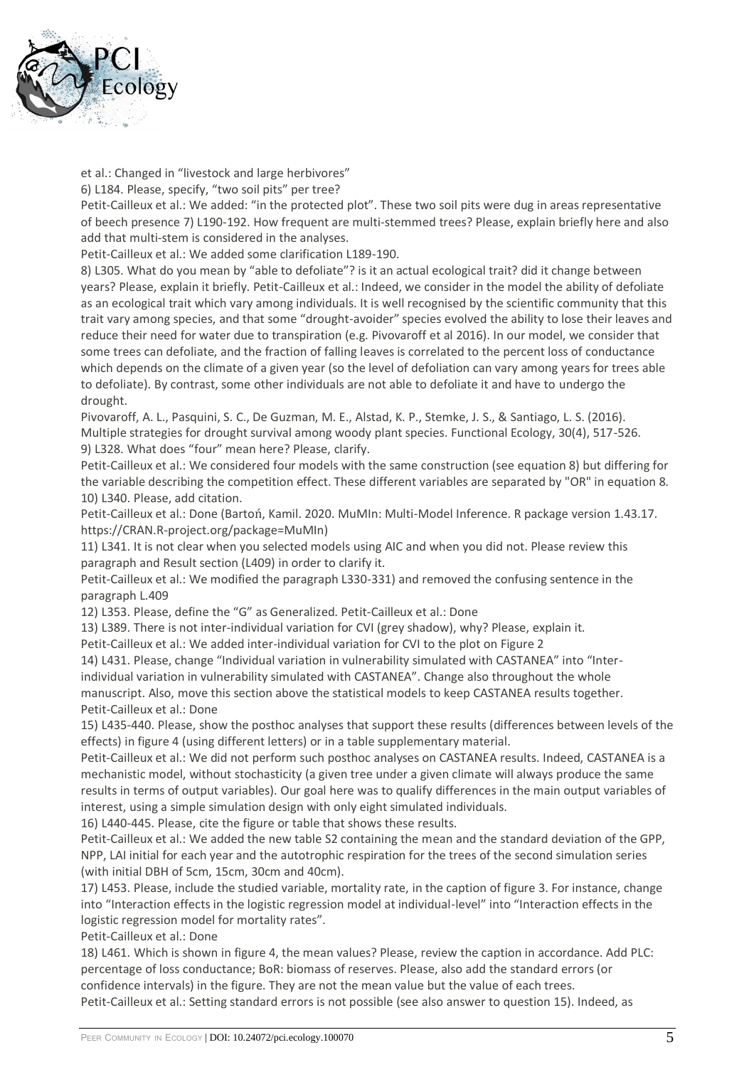

et al.: Changed in "livestock and large herbivores"

6) L184. Please, specify, "two soil pits" per tree?

Petit-Cailleux et al.: We added: "in the protected plot". These two soil pits were dug in areas representative of beech presence 7) L190-192. How frequent are multi-stemmed trees? Please, explain briefly here and also add that multi-stem is considered in the analyses.

Petit-Cailleux et al.: We added some clarification L189-190.

8) L305. What do you mean by "able to defoliate"? is it an actual ecological trait? did it change between years? Please, explain it briefly. Petit-Cailleux et al.: Indeed, we consider in the model the ability of defoliate as an ecological trait which vary among individuals. It is well recognised by the scientific community that this trait vary among species, and that some "drought-avoider" species evolved the ability to lose their leaves and reduce their need for water due to transpiration (e.g. Pivovaroff et al 2016). In our model, we consider that some trees can defoliate, and the fraction of falling leaves is correlated to the percent loss of conductance which depends on the climate of a given year (so the level of defoliation can vary among years for trees able to defoliate). By contrast, some other individuals are not able to defoliate it and have to undergo the drought.

Pivovaroff, A. L., Pasquini, S. C., De Guzman, M. E., Alstad, K. P., Stemke, J. S., & Santiago, L. S. (2016). Multiple strategies for drought survival among woody plant species. Functional Ecology, 30(4), 517-526. 9) L328. What does "four" mean here? Please, clarify.

Petit-Cailleux et al.: We considered four models with the same construction (see equation 8) but differing for the variable describing the competition effect. These different variables are separated by "OR" in equation 8. 10) L340. Please, add citation.

Petit-Cailleux et al.: Done (Bartoń, Kamil. 2020. MuMIn: Multi-Model Inference. R package version 1.43.17. https://CRAN.R-project.org/package=MuMIn)

11) L341. It is not clear when you selected models using AIC and when you did not. Please review this paragraph and Result section (L409) in order to clarify it.

Petit-Cailleux et al.: We modified the paragraph L330-331) and removed the confusing sentence in the paragraph L.409

12) L353. Please, define the "G" as Generalized. Petit-Cailleux et al.: Done

13) L389. There is not inter-individual variation for CVI (grey shadow), why? Please, explain it.

Petit-Cailleux et al.: We added inter-individual variation for CVI to the plot on Figure 2

14) L431. Please, change "Individual variation in vulnerability simulated with CASTANEA" into "Interindividual variation in vulnerability simulated with CASTANEA". Change also throughout the whole manuscript. Also, move this section above the statistical models to keep CASTANEA results together. Petit-Cailleux et al.: Done

15) L435-440. Please, show the posthoc analyses that support these results (differences between levels of the effects) in figure 4 (using different letters) or in a table supplementary material.

Petit-Cailleux et al.: We did not perform such posthoc analyses on CASTANEA results. Indeed, CASTANEA is a mechanistic model, without stochasticity (a given tree under a given climate will always produce the same results in terms of output variables). Our goal here was to qualify differences in the main output variables of interest, using a simple simulation design with only eight simulated individuals.

16) L440-445. Please, cite the figure or table that shows these results.

Petit-Cailleux et al.: We added the new table S2 containing the mean and the standard deviation of the GPP, NPP, LAI initial for each year and the autotrophic respiration for the trees of the second simulation series (with initial DBH of 5cm, 15cm, 30cm and 40cm).

17) L453. Please, include the studied variable, mortality rate, in the caption of figure 3. For instance, change into "Interaction effects in the logistic regression model at individual-level" into "Interaction effects in the logistic regression model for mortality rates".

Petit-Cailleux et al.: Done

18) L461. Which is shown in figure 4, the mean values? Please, review the caption in accordance. Add PLC: percentage of loss conductance; BoR: biomass of reserves. Please, also add the standard errors (or confidence intervals) in the figure. They are not the mean value but the value of each trees. Petit-Cailleux et al.: Setting standard errors is not possible (see also answer to question 15). Indeed, as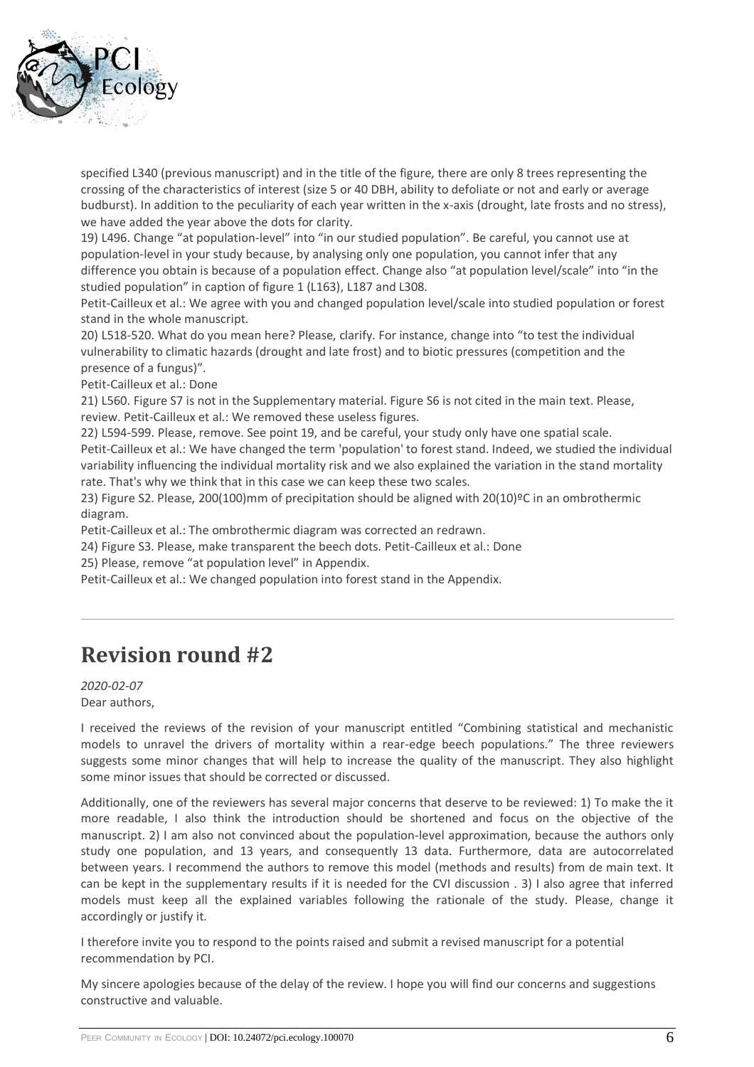

specified L340 (previous manuscript) and in the title of the figure, there are only 8 trees representing the crossing of the characteristics of interest (size 5 or 40 DBH, ability to defoliate or not and early or average budburst). In addition to the peculiarity of each year written in the x-axis (drought, late frosts and no stress), we have added the year above the dots for clarity.

19) L496. Change "at population-level" into "in our studied population". Be careful, you cannot use at population-level in your study because, by analysing only one population, you cannot infer that any difference you obtain is because of a population effect. Change also "at population level/scale" into "in the studied population" in caption of figure 1 (L163), L187 and L308.

Petit-Cailleux et al.: We agree with you and changed population level/scale into studied population or forest stand in the whole manuscript.

20) L518-520. What do you mean here? Please, clarify. For instance, change into "to test the individual vulnerability to climatic hazards (drought and late frost) and to biotic pressures (competition and the presence of a fungus)".

Petit-Cailleux et al.: Done

21) L560. Figure S7 is not in the Supplementary material. Figure S6 is not cited in the main text. Please, review. Petit-Cailleux et al.: We removed these useless figures.

22) L594-599. Please, remove. See point 19, and be careful, your study only have one spatial scale. Petit-Cailleux et al.: We have changed the term 'population' to forest stand. Indeed, we studied the individual variability influencing the individual mortality risk and we also explained the variation in the stand mortality rate. That's why we think that in this case we can keep these two scales.

23) Figure S2. Please, 200(100)mm of precipitation should be aligned with 20(10)ºC in an ombrothermic diagram.

Petit-Cailleux et al.: The ombrothermic diagram was corrected an redrawn.

24) Figure S3. Please, make transparent the beech dots. Petit-Cailleux et al.: Done

25) Please, remove "at population level" in Appendix.

Petit-Cailleux et al.: We changed population into forest stand in the Appendix.

### **Revision round #2**

*2020-02-07*

Dear authors,

I received the reviews of the revision of your manuscript entitled "Combining statistical and mechanistic models to unravel the drivers of mortality within a rear-edge beech populations." The three reviewers suggests some minor changes that will help to increase the quality of the manuscript. They also highlight some minor issues that should be corrected or discussed.

Additionally, one of the reviewers has several major concerns that deserve to be reviewed: 1) To make the it more readable, I also think the introduction should be shortened and focus on the objective of the manuscript. 2) I am also not convinced about the population-level approximation, because the authors only study one population, and 13 years, and consequently 13 data. Furthermore, data are autocorrelated between years. I recommend the authors to remove this model (methods and results) from de main text. It can be kept in the supplementary results if it is needed for the CVI discussion . 3) I also agree that inferred models must keep all the explained variables following the rationale of the study. Please, change it accordingly or justify it.

I therefore invite you to respond to the points raised and submit a revised manuscript for a potential recommendation by PCI.

My sincere apologies because of the delay of the review. I hope you will find our concerns and suggestions constructive and valuable.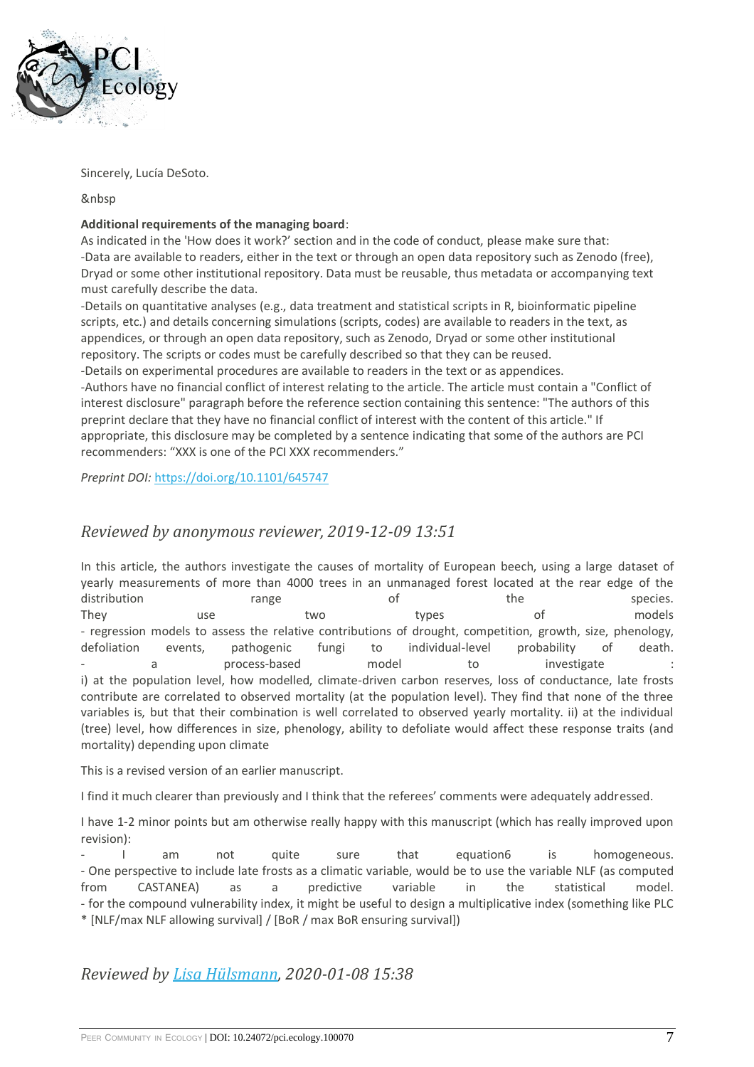

Sincerely, Lucía DeSoto.

&nbsp

#### **Additional requirements of the managing board**:

As indicated in the 'How does it work?' section and in the code of conduct, please make sure that: -Data are available to readers, either in the text or through an open data repository such as Zenodo (free), Dryad or some other institutional repository. Data must be reusable, thus metadata or accompanying text must carefully describe the data.

-Details on quantitative analyses (e.g., data treatment and statistical scripts in R, bioinformatic pipeline scripts, etc.) and details concerning simulations (scripts, codes) are available to readers in the text, as appendices, or through an open data repository, such as Zenodo, Dryad or some other institutional repository. The scripts or codes must be carefully described so that they can be reused.

-Details on experimental procedures are available to readers in the text or as appendices. -Authors have no financial conflict of interest relating to the article. The article must contain a "Conflict of interest disclosure" paragraph before the reference section containing this sentence: "The authors of this preprint declare that they have no financial conflict of interest with the content of this article." If appropriate, this disclosure may be completed by a sentence indicating that some of the authors are PCI recommenders: "XXX is one of the PCI XXX recommenders."

*Preprint DOI:* <https://doi.org/10.1101/645747>

#### *Reviewed by anonymous reviewer, 2019-12-09 13:51*

In this article, the authors investigate the causes of mortality of European beech, using a large dataset of yearly measurements of more than 4000 trees in an unmanaged forest located at the rear edge of the distribution **the species.** The species range the species of the species. They use two types of models - regression models to assess the relative contributions of drought, competition, growth, size, phenology, defoliation events, pathogenic fungi to individual-level probability of death. a process-based model to investigate i) at the population level, how modelled, climate-driven carbon reserves, loss of conductance, late frosts contribute are correlated to observed mortality (at the population level). They find that none of the three variables is, but that their combination is well correlated to observed yearly mortality. ii) at the individual (tree) level, how differences in size, phenology, ability to defoliate would affect these response traits (and mortality) depending upon climate

This is a revised version of an earlier manuscript.

I find it much clearer than previously and I think that the referees' comments were adequately addressed.

I have 1-2 minor points but am otherwise really happy with this manuscript (which has really improved upon revision):

am not quite sure that equation6 is homogeneous. - One perspective to include late frosts as a climatic variable, would be to use the variable NLF (as computed from CASTANEA) as a predictive variable in the statistical model. - for the compound vulnerability index, it might be useful to design a multiplicative index (something like PLC \* [NLF/max NLF allowing survival] / [BoR / max BoR ensuring survival])

*Reviewed by [Lisa Hülsmann,](https://ecology.peercommunityin.org/public/viewUserCard?userId=606) 2020-01-08 15:38*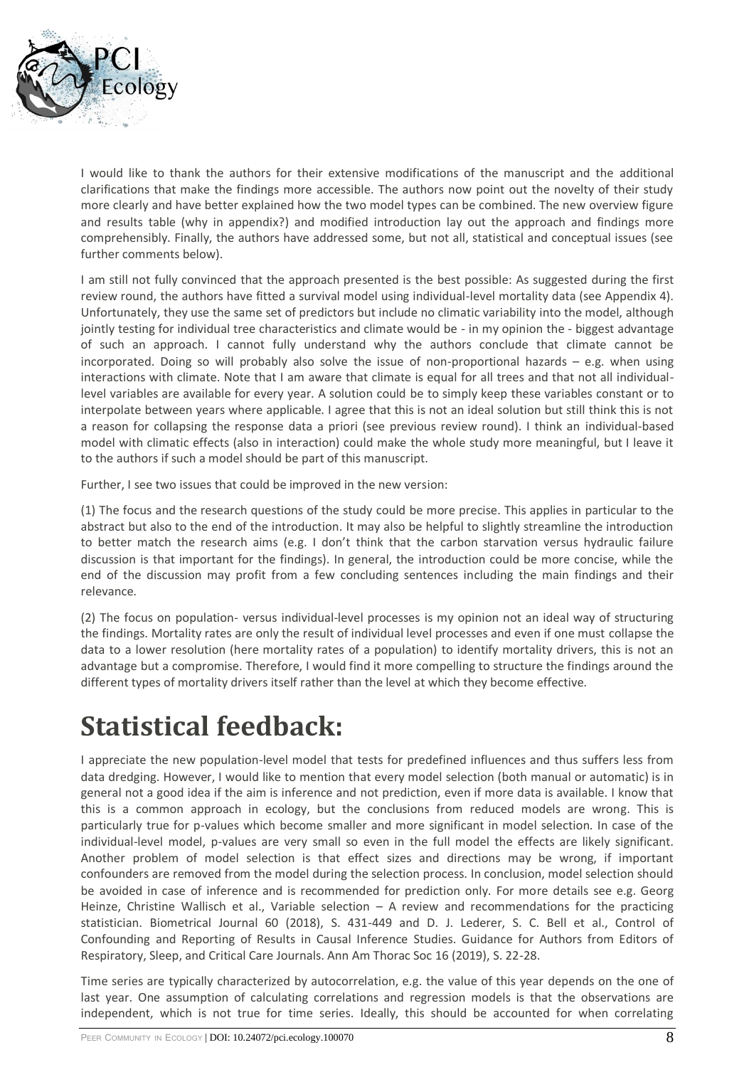

I would like to thank the authors for their extensive modifications of the manuscript and the additional clarifications that make the findings more accessible. The authors now point out the novelty of their study more clearly and have better explained how the two model types can be combined. The new overview figure and results table (why in appendix?) and modified introduction lay out the approach and findings more comprehensibly. Finally, the authors have addressed some, but not all, statistical and conceptual issues (see further comments below).

I am still not fully convinced that the approach presented is the best possible: As suggested during the first review round, the authors have fitted a survival model using individual-level mortality data (see Appendix 4). Unfortunately, they use the same set of predictors but include no climatic variability into the model, although jointly testing for individual tree characteristics and climate would be - in my opinion the - biggest advantage of such an approach. I cannot fully understand why the authors conclude that climate cannot be incorporated. Doing so will probably also solve the issue of non-proportional hazards – e.g. when using interactions with climate. Note that I am aware that climate is equal for all trees and that not all individuallevel variables are available for every year. A solution could be to simply keep these variables constant or to interpolate between years where applicable. I agree that this is not an ideal solution but still think this is not a reason for collapsing the response data a priori (see previous review round). I think an individual-based model with climatic effects (also in interaction) could make the whole study more meaningful, but I leave it to the authors if such a model should be part of this manuscript.

Further, I see two issues that could be improved in the new version:

(1) The focus and the research questions of the study could be more precise. This applies in particular to the abstract but also to the end of the introduction. It may also be helpful to slightly streamline the introduction to better match the research aims (e.g. I don't think that the carbon starvation versus hydraulic failure discussion is that important for the findings). In general, the introduction could be more concise, while the end of the discussion may profit from a few concluding sentences including the main findings and their relevance.

(2) The focus on population- versus individual-level processes is my opinion not an ideal way of structuring the findings. Mortality rates are only the result of individual level processes and even if one must collapse the data to a lower resolution (here mortality rates of a population) to identify mortality drivers, this is not an advantage but a compromise. Therefore, I would find it more compelling to structure the findings around the different types of mortality drivers itself rather than the level at which they become effective.

# **Statistical feedback:**

I appreciate the new population-level model that tests for predefined influences and thus suffers less from data dredging. However, I would like to mention that every model selection (both manual or automatic) is in general not a good idea if the aim is inference and not prediction, even if more data is available. I know that this is a common approach in ecology, but the conclusions from reduced models are wrong. This is particularly true for p-values which become smaller and more significant in model selection. In case of the individual-level model, p-values are very small so even in the full model the effects are likely significant. Another problem of model selection is that effect sizes and directions may be wrong, if important confounders are removed from the model during the selection process. In conclusion, model selection should be avoided in case of inference and is recommended for prediction only. For more details see e.g. Georg Heinze, Christine Wallisch et al., Variable selection – A review and recommendations for the practicing statistician. Biometrical Journal 60 (2018), S. 431-449 and D. J. Lederer, S. C. Bell et al., Control of Confounding and Reporting of Results in Causal Inference Studies. Guidance for Authors from Editors of Respiratory, Sleep, and Critical Care Journals. Ann Am Thorac Soc 16 (2019), S. 22-28.

Time series are typically characterized by autocorrelation, e.g. the value of this year depends on the one of last year. One assumption of calculating correlations and regression models is that the observations are independent, which is not true for time series. Ideally, this should be accounted for when correlating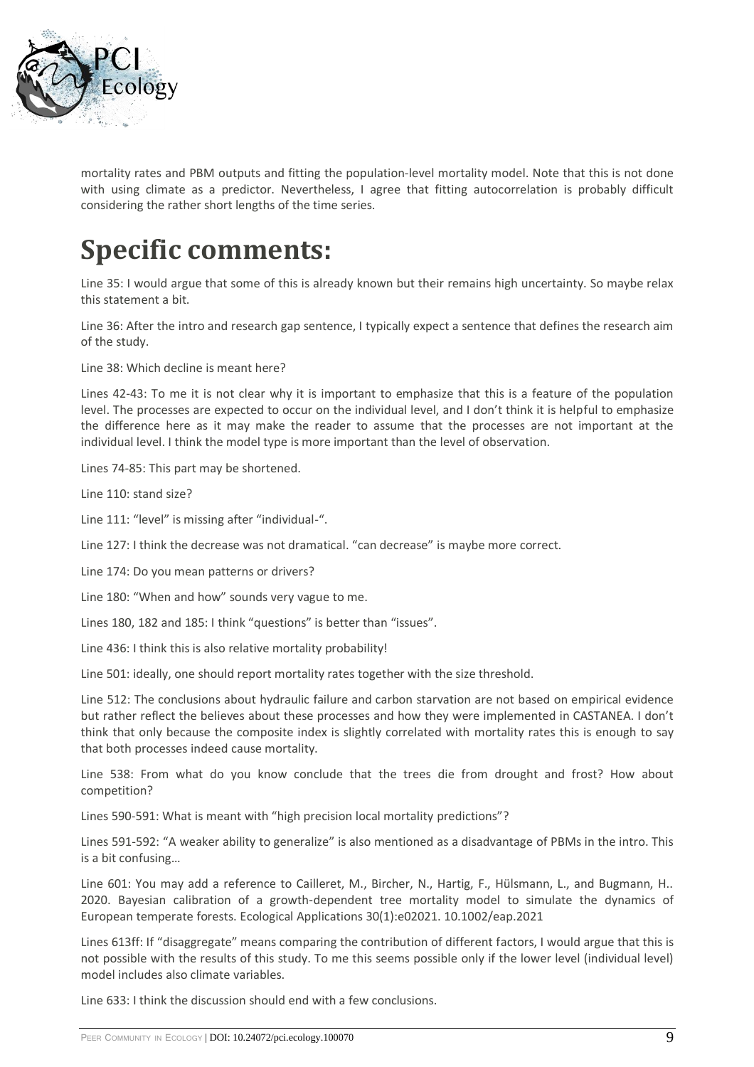

mortality rates and PBM outputs and fitting the population-level mortality model. Note that this is not done with using climate as a predictor. Nevertheless, I agree that fitting autocorrelation is probably difficult considering the rather short lengths of the time series.

# **Specific comments:**

Line 35: I would argue that some of this is already known but their remains high uncertainty. So maybe relax this statement a bit.

Line 36: After the intro and research gap sentence, I typically expect a sentence that defines the research aim of the study.

Line 38: Which decline is meant here?

Lines 42-43: To me it is not clear why it is important to emphasize that this is a feature of the population level. The processes are expected to occur on the individual level, and I don't think it is helpful to emphasize the difference here as it may make the reader to assume that the processes are not important at the individual level. I think the model type is more important than the level of observation.

Lines 74-85: This part may be shortened.

Line 110: stand size?

Line 111: "level" is missing after "individual-".

Line 127: I think the decrease was not dramatical. "can decrease" is maybe more correct.

Line 174: Do you mean patterns or drivers?

Line 180: "When and how" sounds very vague to me.

Lines 180, 182 and 185: I think "questions" is better than "issues".

Line 436: I think this is also relative mortality probability!

Line 501: ideally, one should report mortality rates together with the size threshold.

Line 512: The conclusions about hydraulic failure and carbon starvation are not based on empirical evidence but rather reflect the believes about these processes and how they were implemented in CASTANEA. I don't think that only because the composite index is slightly correlated with mortality rates this is enough to say that both processes indeed cause mortality.

Line 538: From what do you know conclude that the trees die from drought and frost? How about competition?

Lines 590-591: What is meant with "high precision local mortality predictions"?

Lines 591-592: "A weaker ability to generalize" is also mentioned as a disadvantage of PBMs in the intro. This is a bit confusing…

Line 601: You may add a reference to Cailleret, M., Bircher, N., Hartig, F., Hülsmann, L., and Bugmann, H.. 2020. Bayesian calibration of a growth‐dependent tree mortality model to simulate the dynamics of European temperate forests. Ecological Applications 30(1):e02021. 10.1002/eap.2021

Lines 613ff: If "disaggregate" means comparing the contribution of different factors, I would argue that this is not possible with the results of this study. To me this seems possible only if the lower level (individual level) model includes also climate variables.

Line 633: I think the discussion should end with a few conclusions.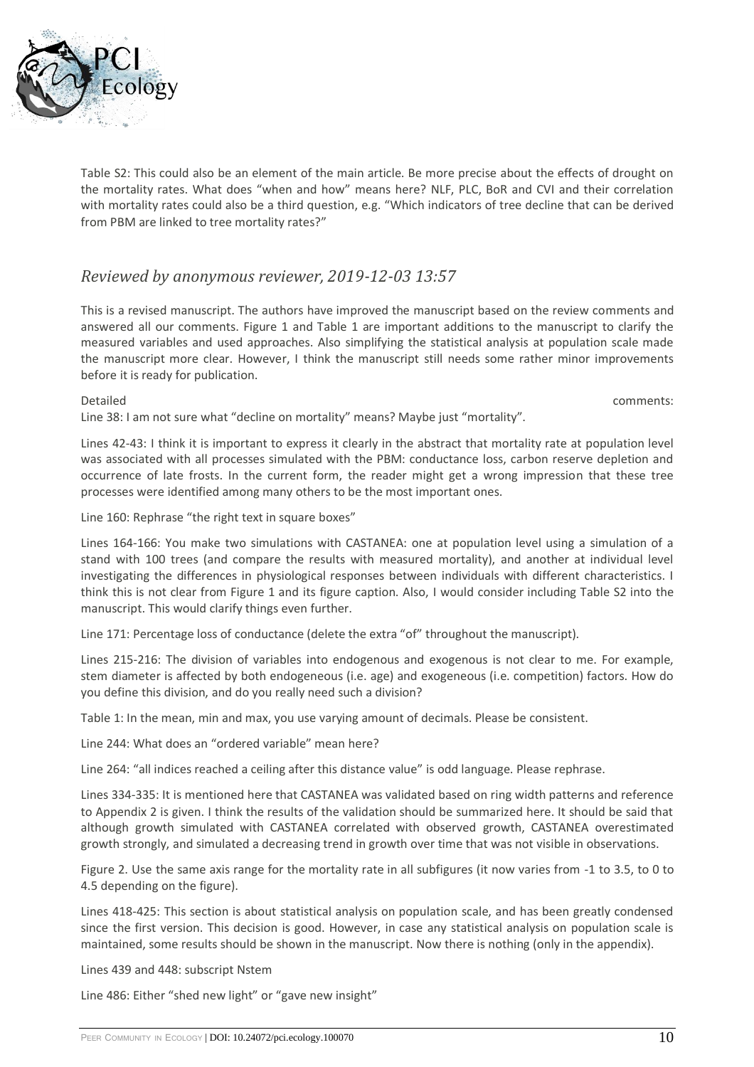

Table S2: This could also be an element of the main article. Be more precise about the effects of drought on the mortality rates. What does "when and how" means here? NLF, PLC, BoR and CVI and their correlation with mortality rates could also be a third question, e.g. "Which indicators of tree decline that can be derived from PBM are linked to tree mortality rates?"

#### *Reviewed by anonymous reviewer, 2019-12-03 13:57*

This is a revised manuscript. The authors have improved the manuscript based on the review comments and answered all our comments. Figure 1 and Table 1 are important additions to the manuscript to clarify the measured variables and used approaches. Also simplifying the statistical analysis at population scale made the manuscript more clear. However, I think the manuscript still needs some rather minor improvements before it is ready for publication.

Detailed comments:

Line 38: I am not sure what "decline on mortality" means? Maybe just "mortality".

Lines 42-43: I think it is important to express it clearly in the abstract that mortality rate at population level was associated with all processes simulated with the PBM: conductance loss, carbon reserve depletion and occurrence of late frosts. In the current form, the reader might get a wrong impression that these tree processes were identified among many others to be the most important ones.

Line 160: Rephrase "the right text in square boxes"

Lines 164-166: You make two simulations with CASTANEA: one at population level using a simulation of a stand with 100 trees (and compare the results with measured mortality), and another at individual level investigating the differences in physiological responses between individuals with different characteristics. I think this is not clear from Figure 1 and its figure caption. Also, I would consider including Table S2 into the manuscript. This would clarify things even further.

Line 171: Percentage loss of conductance (delete the extra "of" throughout the manuscript).

Lines 215-216: The division of variables into endogenous and exogenous is not clear to me. For example, stem diameter is affected by both endogeneous (i.e. age) and exogeneous (i.e. competition) factors. How do you define this division, and do you really need such a division?

Table 1: In the mean, min and max, you use varying amount of decimals. Please be consistent.

Line 244: What does an "ordered variable" mean here?

Line 264: "all indices reached a ceiling after this distance value" is odd language. Please rephrase.

Lines 334-335: It is mentioned here that CASTANEA was validated based on ring width patterns and reference to Appendix 2 is given. I think the results of the validation should be summarized here. It should be said that although growth simulated with CASTANEA correlated with observed growth, CASTANEA overestimated growth strongly, and simulated a decreasing trend in growth over time that was not visible in observations.

Figure 2. Use the same axis range for the mortality rate in all subfigures (it now varies from -1 to 3.5, to 0 to 4.5 depending on the figure).

Lines 418-425: This section is about statistical analysis on population scale, and has been greatly condensed since the first version. This decision is good. However, in case any statistical analysis on population scale is maintained, some results should be shown in the manuscript. Now there is nothing (only in the appendix).

Lines 439 and 448: subscript Nstem

Line 486: Either "shed new light" or "gave new insight"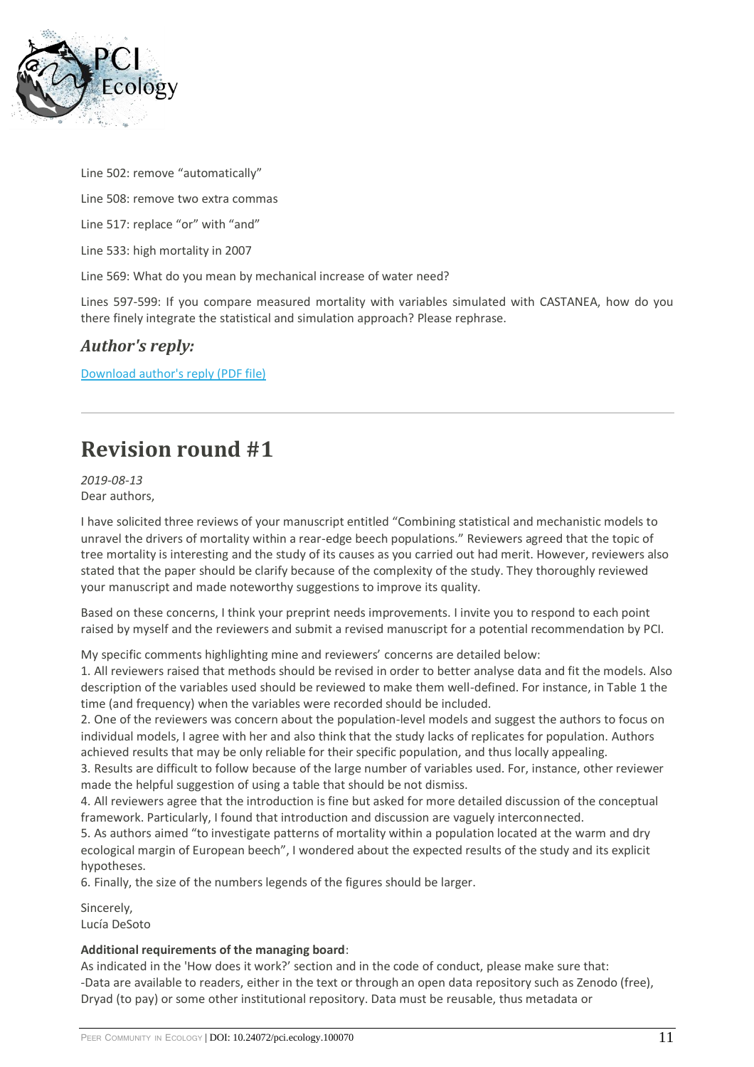

Line 502: remove "automatically"

Line 508: remove two extra commas

Line 517: replace "or" with "and"

Line 533: high mortality in 2007

Line 569: What do you mean by mechanical increase of water need?

Lines 597-599: If you compare measured mortality with variables simulated with CASTANEA, how do you there finely integrate the statistical and simulation approach? Please rephrase.

#### *Author's reply:*

[Download author's reply \(PDF file\)](https://ecology.peercommunityin.org/download/t_recommendations.reply_pdf.89006813255aaf13.526573706f6e73654c65747465725f76657273696f6e332e706466.pdf)

### **Revision round #1**

*2019-08-13* Dear authors,

I have solicited three reviews of your manuscript entitled "Combining statistical and mechanistic models to unravel the drivers of mortality within a rear-edge beech populations." Reviewers agreed that the topic of tree mortality is interesting and the study of its causes as you carried out had merit. However, reviewers also stated that the paper should be clarify because of the complexity of the study. They thoroughly reviewed your manuscript and made noteworthy suggestions to improve its quality.

Based on these concerns, I think your preprint needs improvements. I invite you to respond to each point raised by myself and the reviewers and submit a revised manuscript for a potential recommendation by PCI.

My specific comments highlighting mine and reviewers' concerns are detailed below:

1. All reviewers raised that methods should be revised in order to better analyse data and fit the models. Also description of the variables used should be reviewed to make them well-defined. For instance, in Table 1 the time (and frequency) when the variables were recorded should be included.

2. One of the reviewers was concern about the population-level models and suggest the authors to focus on individual models, I agree with her and also think that the study lacks of replicates for population. Authors achieved results that may be only reliable for their specific population, and thus locally appealing.

3. Results are difficult to follow because of the large number of variables used. For, instance, other reviewer made the helpful suggestion of using a table that should be not dismiss.

4. All reviewers agree that the introduction is fine but asked for more detailed discussion of the conceptual framework. Particularly, I found that introduction and discussion are vaguely interconnected.

5. As authors aimed "to investigate patterns of mortality within a population located at the warm and dry ecological margin of European beech", I wondered about the expected results of the study and its explicit hypotheses.

6. Finally, the size of the numbers legends of the figures should be larger.

Sincerely, Lucía DeSoto

#### **Additional requirements of the managing board**:

As indicated in the 'How does it work?' section and in the code of conduct, please make sure that: -Data are available to readers, either in the text or through an open data repository such as Zenodo (free), Dryad (to pay) or some other institutional repository. Data must be reusable, thus metadata or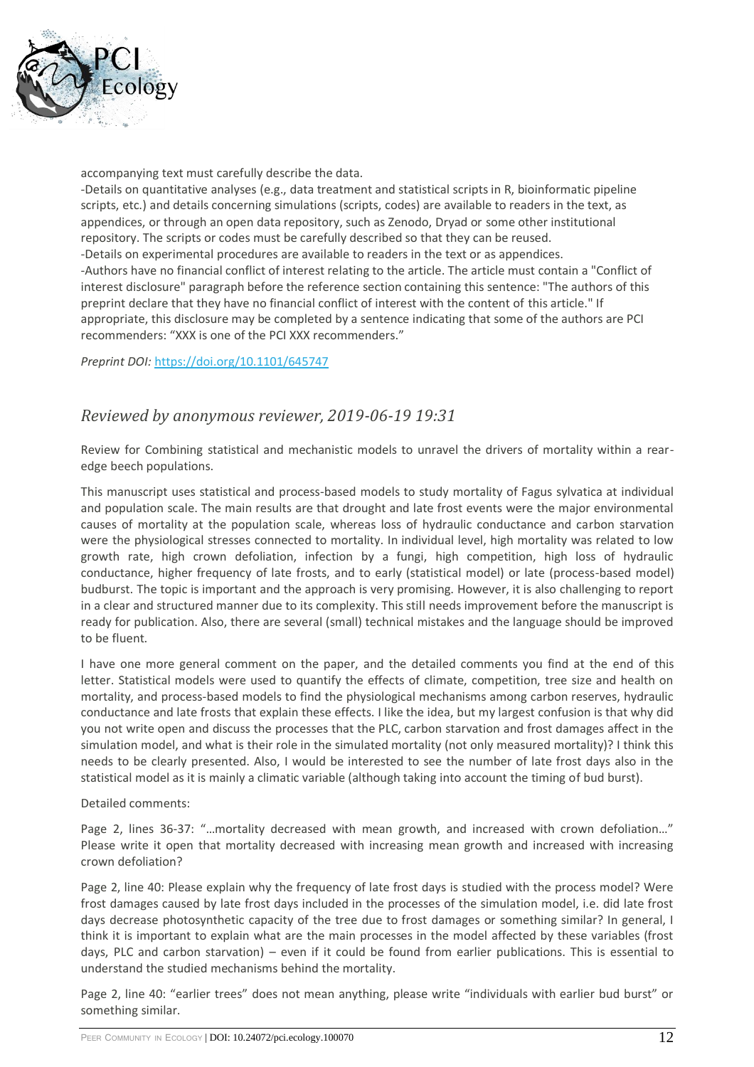

accompanying text must carefully describe the data. -Details on quantitative analyses (e.g., data treatment and statistical scripts in R, bioinformatic pipeline scripts, etc.) and details concerning simulations (scripts, codes) are available to readers in the text, as appendices, or through an open data repository, such as Zenodo, Dryad or some other institutional repository. The scripts or codes must be carefully described so that they can be reused. -Details on experimental procedures are available to readers in the text or as appendices. -Authors have no financial conflict of interest relating to the article. The article must contain a "Conflict of interest disclosure" paragraph before the reference section containing this sentence: "The authors of this preprint declare that they have no financial conflict of interest with the content of this article." If appropriate, this disclosure may be completed by a sentence indicating that some of the authors are PCI recommenders: "XXX is one of the PCI XXX recommenders."

*Preprint DOI:* <https://doi.org/10.1101/645747>

#### *Reviewed by anonymous reviewer, 2019-06-19 19:31*

Review for Combining statistical and mechanistic models to unravel the drivers of mortality within a rearedge beech populations.

This manuscript uses statistical and process-based models to study mortality of Fagus sylvatica at individual and population scale. The main results are that drought and late frost events were the major environmental causes of mortality at the population scale, whereas loss of hydraulic conductance and carbon starvation were the physiological stresses connected to mortality. In individual level, high mortality was related to low growth rate, high crown defoliation, infection by a fungi, high competition, high loss of hydraulic conductance, higher frequency of late frosts, and to early (statistical model) or late (process-based model) budburst. The topic is important and the approach is very promising. However, it is also challenging to report in a clear and structured manner due to its complexity. This still needs improvement before the manuscript is ready for publication. Also, there are several (small) technical mistakes and the language should be improved to be fluent.

I have one more general comment on the paper, and the detailed comments you find at the end of this letter. Statistical models were used to quantify the effects of climate, competition, tree size and health on mortality, and process-based models to find the physiological mechanisms among carbon reserves, hydraulic conductance and late frosts that explain these effects. I like the idea, but my largest confusion is that why did you not write open and discuss the processes that the PLC, carbon starvation and frost damages affect in the simulation model, and what is their role in the simulated mortality (not only measured mortality)? I think this needs to be clearly presented. Also, I would be interested to see the number of late frost days also in the statistical model as it is mainly a climatic variable (although taking into account the timing of bud burst).

Detailed comments:

Page 2, lines 36-37: "…mortality decreased with mean growth, and increased with crown defoliation…" Please write it open that mortality decreased with increasing mean growth and increased with increasing crown defoliation?

Page 2, line 40: Please explain why the frequency of late frost days is studied with the process model? Were frost damages caused by late frost days included in the processes of the simulation model, i.e. did late frost days decrease photosynthetic capacity of the tree due to frost damages or something similar? In general, I think it is important to explain what are the main processes in the model affected by these variables (frost days, PLC and carbon starvation) – even if it could be found from earlier publications. This is essential to understand the studied mechanisms behind the mortality.

Page 2, line 40: "earlier trees" does not mean anything, please write "individuals with earlier bud burst" or something similar.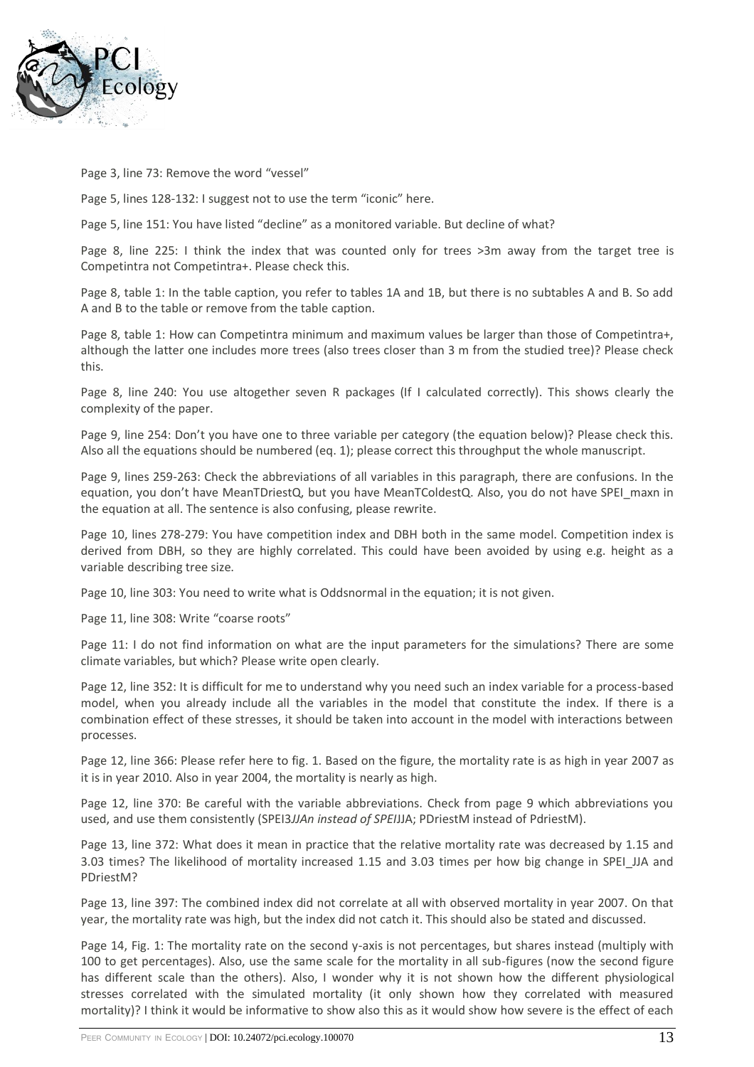

Page 3, line 73: Remove the word "vessel"

Page 5, lines 128-132: I suggest not to use the term "iconic" here.

Page 5, line 151: You have listed "decline" as a monitored variable. But decline of what?

Page 8, line 225: I think the index that was counted only for trees >3m away from the target tree is Competintra not Competintra+. Please check this.

Page 8, table 1: In the table caption, you refer to tables 1A and 1B, but there is no subtables A and B. So add A and B to the table or remove from the table caption.

Page 8, table 1: How can Competintra minimum and maximum values be larger than those of Competintra+, although the latter one includes more trees (also trees closer than 3 m from the studied tree)? Please check this.

Page 8, line 240: You use altogether seven R packages (If I calculated correctly). This shows clearly the complexity of the paper.

Page 9, line 254: Don't you have one to three variable per category (the equation below)? Please check this. Also all the equations should be numbered (eq. 1); please correct this throughput the whole manuscript.

Page 9, lines 259-263: Check the abbreviations of all variables in this paragraph, there are confusions. In the equation, you don't have MeanTDriestQ, but you have MeanTColdestQ. Also, you do not have SPEI\_maxn in the equation at all. The sentence is also confusing, please rewrite.

Page 10, lines 278-279: You have competition index and DBH both in the same model. Competition index is derived from DBH, so they are highly correlated. This could have been avoided by using e.g. height as a variable describing tree size.

Page 10, line 303: You need to write what is Oddsnormal in the equation; it is not given.

Page 11, line 308: Write "coarse roots"

Page 11: I do not find information on what are the input parameters for the simulations? There are some climate variables, but which? Please write open clearly.

Page 12, line 352: It is difficult for me to understand why you need such an index variable for a process-based model, when you already include all the variables in the model that constitute the index. If there is a combination effect of these stresses, it should be taken into account in the model with interactions between processes.

Page 12, line 366: Please refer here to fig. 1. Based on the figure, the mortality rate is as high in year 2007 as it is in year 2010. Also in year 2004, the mortality is nearly as high.

Page 12, line 370: Be careful with the variable abbreviations. Check from page 9 which abbreviations you used, and use them consistently (SPEI3*JJAn instead of SPEI*JJA; PDriestM instead of PdriestM).

Page 13, line 372: What does it mean in practice that the relative mortality rate was decreased by 1.15 and 3.03 times? The likelihood of mortality increased 1.15 and 3.03 times per how big change in SPEI JJA and PDriestM?

Page 13, line 397: The combined index did not correlate at all with observed mortality in year 2007. On that year, the mortality rate was high, but the index did not catch it. This should also be stated and discussed.

Page 14, Fig. 1: The mortality rate on the second y-axis is not percentages, but shares instead (multiply with 100 to get percentages). Also, use the same scale for the mortality in all sub-figures (now the second figure has different scale than the others). Also, I wonder why it is not shown how the different physiological stresses correlated with the simulated mortality (it only shown how they correlated with measured mortality)? I think it would be informative to show also this as it would show how severe is the effect of each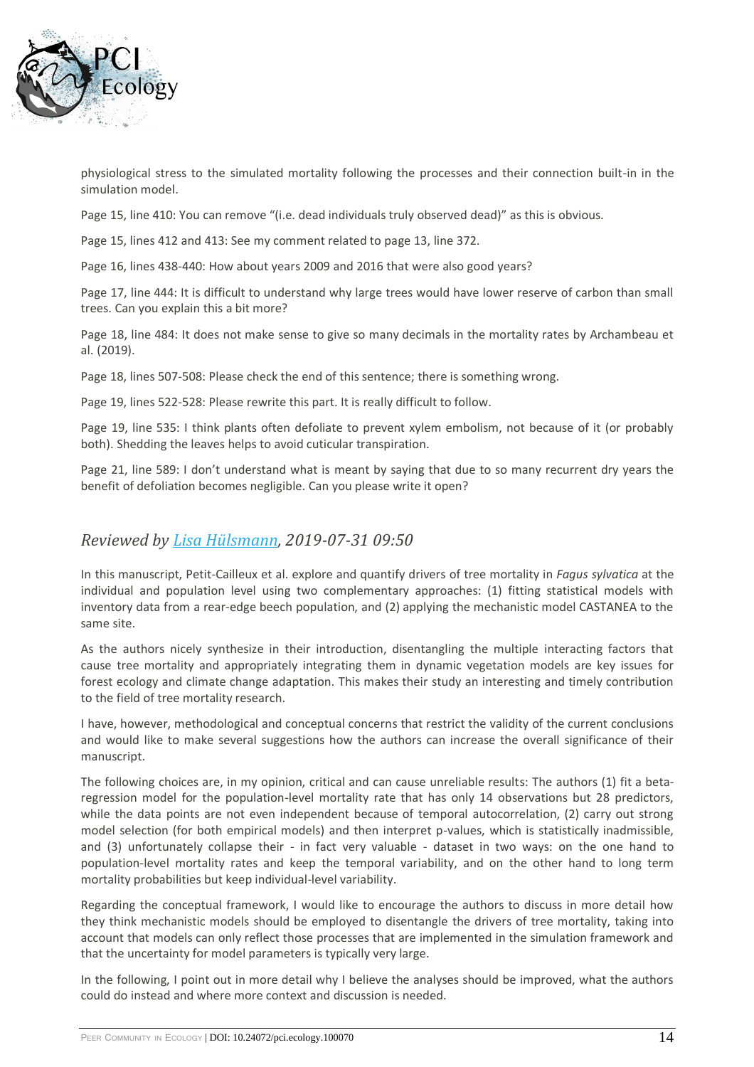

physiological stress to the simulated mortality following the processes and their connection built-in in the simulation model.

Page 15, line 410: You can remove "(i.e. dead individuals truly observed dead)" as this is obvious.

Page 15, lines 412 and 413: See my comment related to page 13, line 372.

Page 16, lines 438-440: How about years 2009 and 2016 that were also good years?

Page 17, line 444: It is difficult to understand why large trees would have lower reserve of carbon than small trees. Can you explain this a bit more?

Page 18, line 484: It does not make sense to give so many decimals in the mortality rates by Archambeau et al. (2019).

Page 18, lines 507-508: Please check the end of this sentence; there is something wrong.

Page 19, lines 522-528: Please rewrite this part. It is really difficult to follow.

Page 19, line 535: I think plants often defoliate to prevent xylem embolism, not because of it (or probably both). Shedding the leaves helps to avoid cuticular transpiration.

Page 21, line 589: I don't understand what is meant by saying that due to so many recurrent dry years the benefit of defoliation becomes negligible. Can you please write it open?

#### *Reviewed by [Lisa Hülsmann,](https://ecology.peercommunityin.org/public/viewUserCard?userId=606) 2019-07-31 09:50*

In this manuscript, Petit-Cailleux et al. explore and quantify drivers of tree mortality in *Fagus sylvatica* at the individual and population level using two complementary approaches: (1) fitting statistical models with inventory data from a rear-edge beech population, and (2) applying the mechanistic model CASTANEA to the same site.

As the authors nicely synthesize in their introduction, disentangling the multiple interacting factors that cause tree mortality and appropriately integrating them in dynamic vegetation models are key issues for forest ecology and climate change adaptation. This makes their study an interesting and timely contribution to the field of tree mortality research.

I have, however, methodological and conceptual concerns that restrict the validity of the current conclusions and would like to make several suggestions how the authors can increase the overall significance of their manuscript.

The following choices are, in my opinion, critical and can cause unreliable results: The authors (1) fit a betaregression model for the population-level mortality rate that has only 14 observations but 28 predictors, while the data points are not even independent because of temporal autocorrelation, (2) carry out strong model selection (for both empirical models) and then interpret p-values, which is statistically inadmissible, and (3) unfortunately collapse their - in fact very valuable - dataset in two ways: on the one hand to population-level mortality rates and keep the temporal variability, and on the other hand to long term mortality probabilities but keep individual-level variability.

Regarding the conceptual framework, I would like to encourage the authors to discuss in more detail how they think mechanistic models should be employed to disentangle the drivers of tree mortality, taking into account that models can only reflect those processes that are implemented in the simulation framework and that the uncertainty for model parameters is typically very large.

In the following, I point out in more detail why I believe the analyses should be improved, what the authors could do instead and where more context and discussion is needed.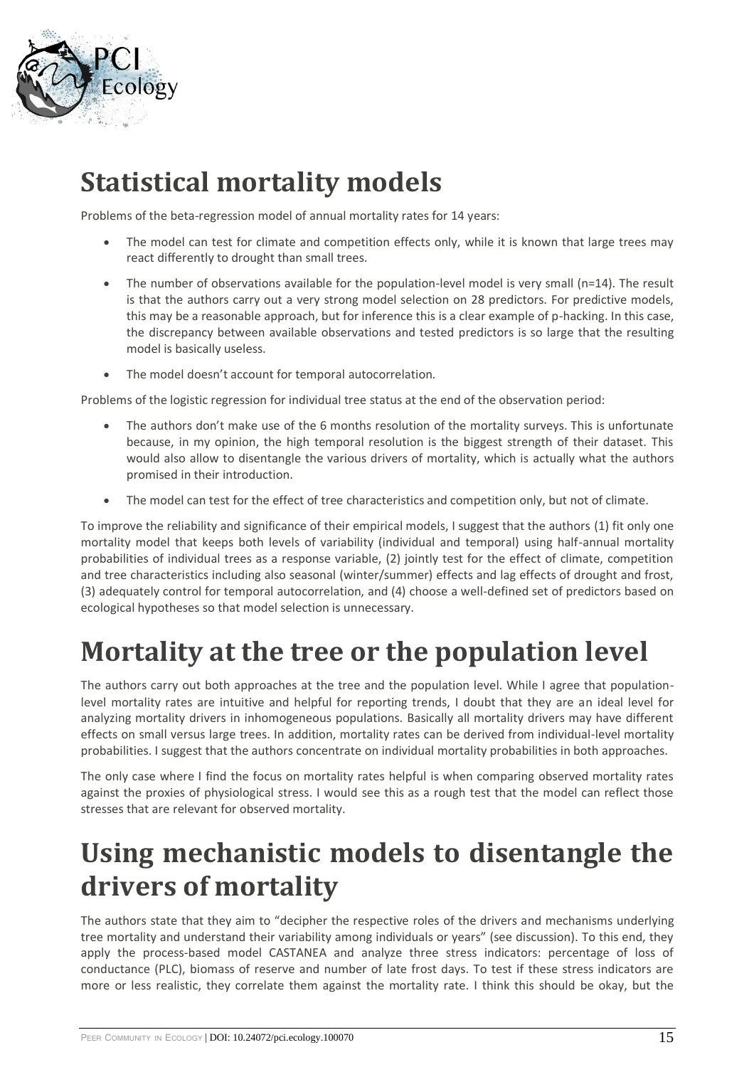

# **Statistical mortality models**

Problems of the beta-regression model of annual mortality rates for 14 years:

- The model can test for climate and competition effects only, while it is known that large trees may react differently to drought than small trees.
- The number of observations available for the population-level model is very small (n=14). The result is that the authors carry out a very strong model selection on 28 predictors. For predictive models, this may be a reasonable approach, but for inference this is a clear example of p-hacking. In this case, the discrepancy between available observations and tested predictors is so large that the resulting model is basically useless.
- The model doesn't account for temporal autocorrelation.

Problems of the logistic regression for individual tree status at the end of the observation period:

- The authors don't make use of the 6 months resolution of the mortality surveys. This is unfortunate because, in my opinion, the high temporal resolution is the biggest strength of their dataset. This would also allow to disentangle the various drivers of mortality, which is actually what the authors promised in their introduction.
- The model can test for the effect of tree characteristics and competition only, but not of climate.

To improve the reliability and significance of their empirical models, I suggest that the authors (1) fit only one mortality model that keeps both levels of variability (individual and temporal) using half-annual mortality probabilities of individual trees as a response variable, (2) jointly test for the effect of climate, competition and tree characteristics including also seasonal (winter/summer) effects and lag effects of drought and frost, (3) adequately control for temporal autocorrelation, and (4) choose a well-defined set of predictors based on ecological hypotheses so that model selection is unnecessary.

# **Mortality at the tree or the population level**

The authors carry out both approaches at the tree and the population level. While I agree that populationlevel mortality rates are intuitive and helpful for reporting trends, I doubt that they are an ideal level for analyzing mortality drivers in inhomogeneous populations. Basically all mortality drivers may have different effects on small versus large trees. In addition, mortality rates can be derived from individual-level mortality probabilities. I suggest that the authors concentrate on individual mortality probabilities in both approaches.

The only case where I find the focus on mortality rates helpful is when comparing observed mortality rates against the proxies of physiological stress. I would see this as a rough test that the model can reflect those stresses that are relevant for observed mortality.

### **Using mechanistic models to disentangle the drivers of mortality**

The authors state that they aim to "decipher the respective roles of the drivers and mechanisms underlying tree mortality and understand their variability among individuals or years" (see discussion). To this end, they apply the process-based model CASTANEA and analyze three stress indicators: percentage of loss of conductance (PLC), biomass of reserve and number of late frost days. To test if these stress indicators are more or less realistic, they correlate them against the mortality rate. I think this should be okay, but the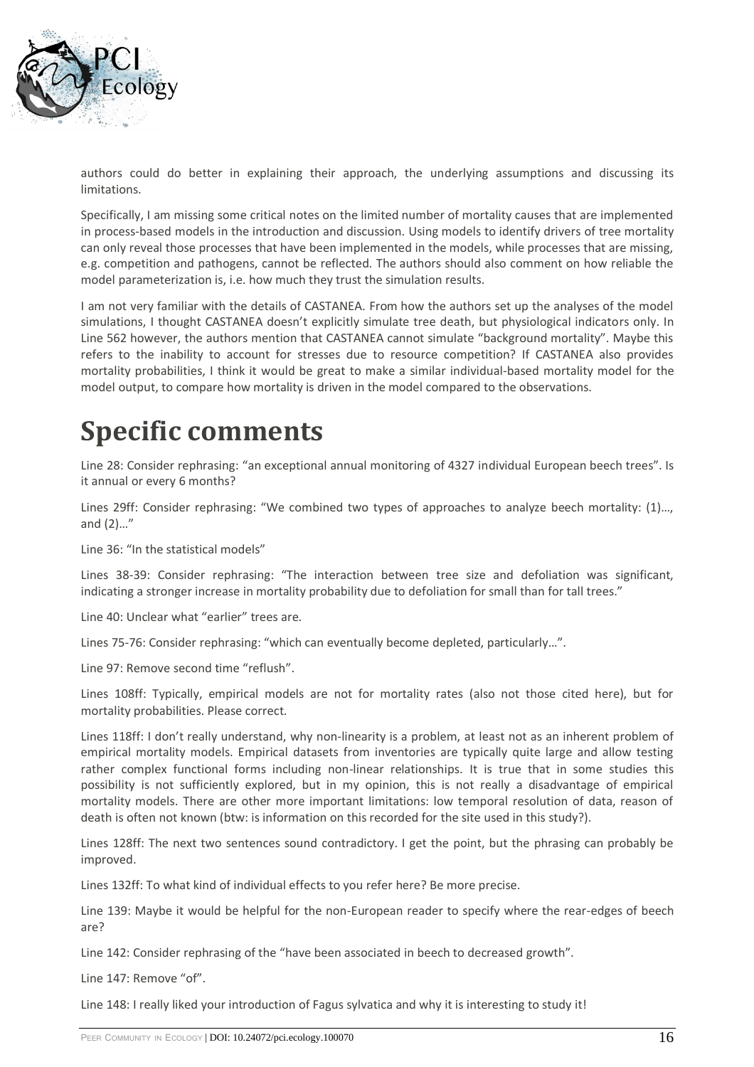

authors could do better in explaining their approach, the underlying assumptions and discussing its limitations.

Specifically, I am missing some critical notes on the limited number of mortality causes that are implemented in process-based models in the introduction and discussion. Using models to identify drivers of tree mortality can only reveal those processes that have been implemented in the models, while processes that are missing, e.g. competition and pathogens, cannot be reflected. The authors should also comment on how reliable the model parameterization is, i.e. how much they trust the simulation results.

I am not very familiar with the details of CASTANEA. From how the authors set up the analyses of the model simulations, I thought CASTANEA doesn't explicitly simulate tree death, but physiological indicators only. In Line 562 however, the authors mention that CASTANEA cannot simulate "background mortality". Maybe this refers to the inability to account for stresses due to resource competition? If CASTANEA also provides mortality probabilities, I think it would be great to make a similar individual-based mortality model for the model output, to compare how mortality is driven in the model compared to the observations.

# **Specific comments**

Line 28: Consider rephrasing: "an exceptional annual monitoring of 4327 individual European beech trees". Is it annual or every 6 months?

Lines 29ff: Consider rephrasing: "We combined two types of approaches to analyze beech mortality: (1)…, and (2)…"

Line 36: "In the statistical models"

Lines 38-39: Consider rephrasing: "The interaction between tree size and defoliation was significant, indicating a stronger increase in mortality probability due to defoliation for small than for tall trees."

Line 40: Unclear what "earlier" trees are.

Lines 75-76: Consider rephrasing: "which can eventually become depleted, particularly…".

Line 97: Remove second time "reflush".

Lines 108ff: Typically, empirical models are not for mortality rates (also not those cited here), but for mortality probabilities. Please correct.

Lines 118ff: I don't really understand, why non-linearity is a problem, at least not as an inherent problem of empirical mortality models. Empirical datasets from inventories are typically quite large and allow testing rather complex functional forms including non-linear relationships. It is true that in some studies this possibility is not sufficiently explored, but in my opinion, this is not really a disadvantage of empirical mortality models. There are other more important limitations: low temporal resolution of data, reason of death is often not known (btw: is information on this recorded for the site used in this study?).

Lines 128ff: The next two sentences sound contradictory. I get the point, but the phrasing can probably be improved.

Lines 132ff: To what kind of individual effects to you refer here? Be more precise.

Line 139: Maybe it would be helpful for the non-European reader to specify where the rear-edges of beech are?

Line 142: Consider rephrasing of the "have been associated in beech to decreased growth".

Line 147: Remove "of".

Line 148: I really liked your introduction of Fagus sylvatica and why it is interesting to study it!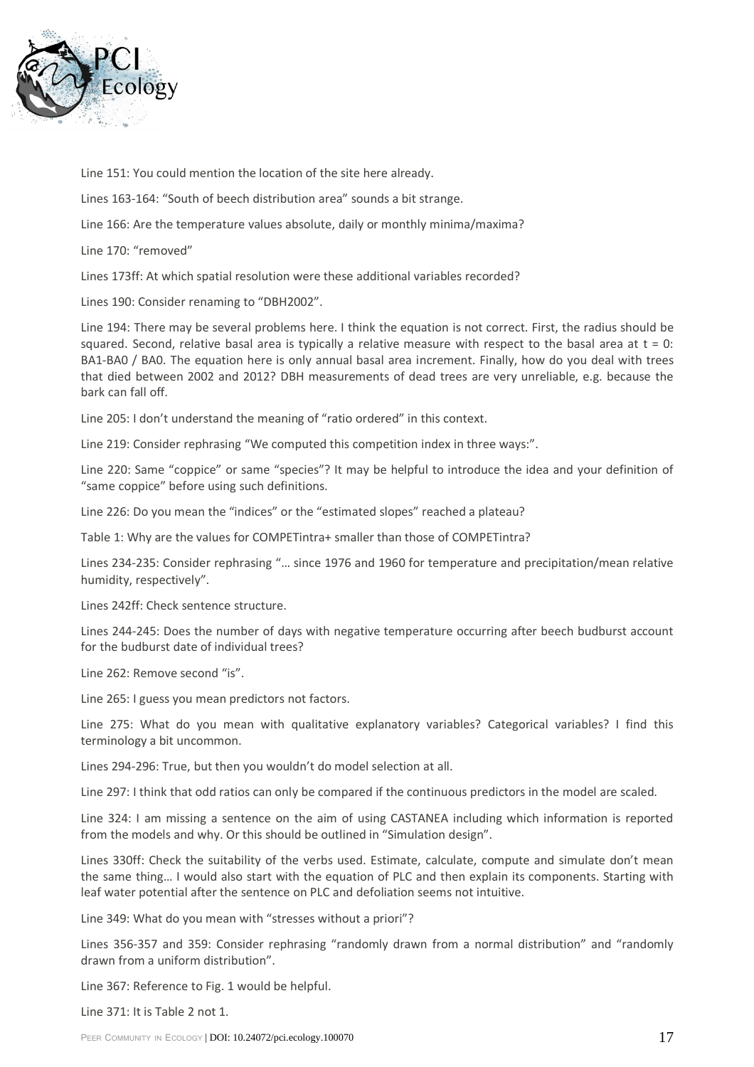

Line 151: You could mention the location of the site here already.

Lines 163-164: "South of beech distribution area" sounds a bit strange.

Line 166: Are the temperature values absolute, daily or monthly minima/maxima?

Line 170: "removed"

Lines 173ff: At which spatial resolution were these additional variables recorded?

Lines 190: Consider renaming to "DBH2002".

Line 194: There may be several problems here. I think the equation is not correct. First, the radius should be squared. Second, relative basal area is typically a relative measure with respect to the basal area at  $t = 0$ : BA1-BA0 / BA0. The equation here is only annual basal area increment. Finally, how do you deal with trees that died between 2002 and 2012? DBH measurements of dead trees are very unreliable, e.g. because the bark can fall off.

Line 205: I don't understand the meaning of "ratio ordered" in this context.

Line 219: Consider rephrasing "We computed this competition index in three ways:".

Line 220: Same "coppice" or same "species"? It may be helpful to introduce the idea and your definition of "same coppice" before using such definitions.

Line 226: Do you mean the "indices" or the "estimated slopes" reached a plateau?

Table 1: Why are the values for COMPETintra+ smaller than those of COMPETintra?

Lines 234-235: Consider rephrasing "… since 1976 and 1960 for temperature and precipitation/mean relative humidity, respectively".

Lines 242ff: Check sentence structure.

Lines 244-245: Does the number of days with negative temperature occurring after beech budburst account for the budburst date of individual trees?

Line 262: Remove second "is".

Line 265: I guess you mean predictors not factors.

Line 275: What do you mean with qualitative explanatory variables? Categorical variables? I find this terminology a bit uncommon.

Lines 294-296: True, but then you wouldn't do model selection at all.

Line 297: I think that odd ratios can only be compared if the continuous predictors in the model are scaled.

Line 324: I am missing a sentence on the aim of using CASTANEA including which information is reported from the models and why. Or this should be outlined in "Simulation design".

Lines 330ff: Check the suitability of the verbs used. Estimate, calculate, compute and simulate don't mean the same thing… I would also start with the equation of PLC and then explain its components. Starting with leaf water potential after the sentence on PLC and defoliation seems not intuitive.

Line 349: What do you mean with "stresses without a priori"?

Lines 356-357 and 359: Consider rephrasing "randomly drawn from a normal distribution" and "randomly drawn from a uniform distribution".

Line 367: Reference to Fig. 1 would be helpful.

Line 371: It is Table 2 not 1.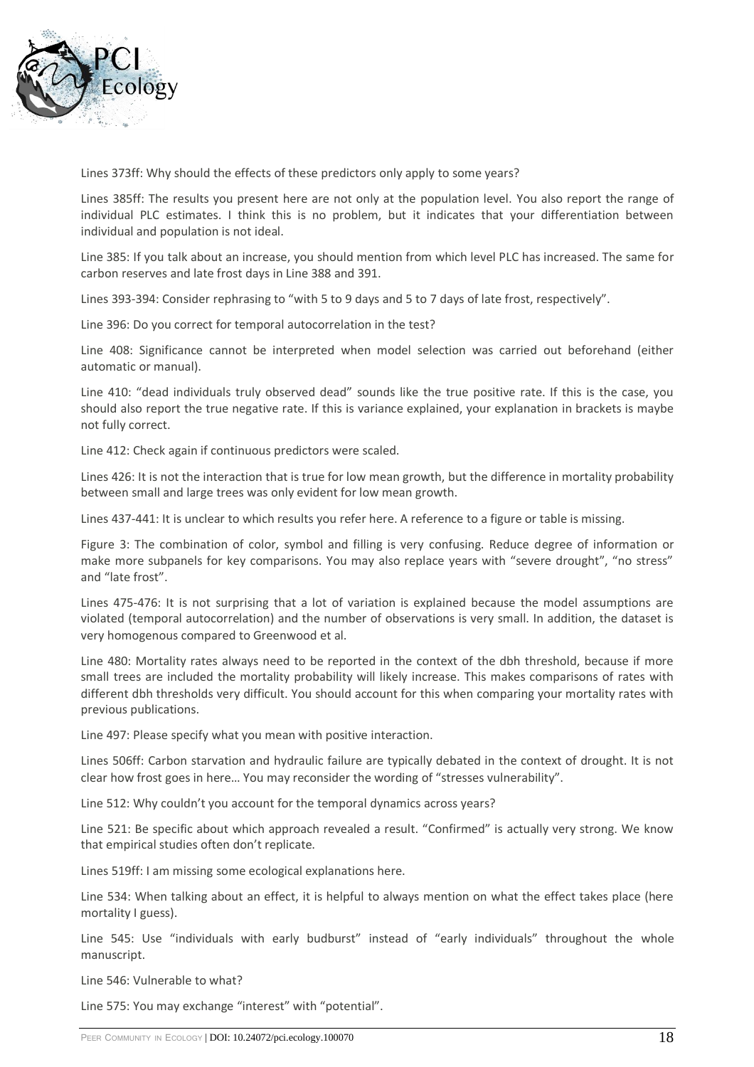

Lines 373ff: Why should the effects of these predictors only apply to some years?

Lines 385ff: The results you present here are not only at the population level. You also report the range of individual PLC estimates. I think this is no problem, but it indicates that your differentiation between individual and population is not ideal.

Line 385: If you talk about an increase, you should mention from which level PLC has increased. The same for carbon reserves and late frost days in Line 388 and 391.

Lines 393-394: Consider rephrasing to "with 5 to 9 days and 5 to 7 days of late frost, respectively".

Line 396: Do you correct for temporal autocorrelation in the test?

Line 408: Significance cannot be interpreted when model selection was carried out beforehand (either automatic or manual).

Line 410: "dead individuals truly observed dead" sounds like the true positive rate. If this is the case, you should also report the true negative rate. If this is variance explained, your explanation in brackets is maybe not fully correct.

Line 412: Check again if continuous predictors were scaled.

Lines 426: It is not the interaction that is true for low mean growth, but the difference in mortality probability between small and large trees was only evident for low mean growth.

Lines 437-441: It is unclear to which results you refer here. A reference to a figure or table is missing.

Figure 3: The combination of color, symbol and filling is very confusing. Reduce degree of information or make more subpanels for key comparisons. You may also replace years with "severe drought", "no stress" and "late frost".

Lines 475-476: It is not surprising that a lot of variation is explained because the model assumptions are violated (temporal autocorrelation) and the number of observations is very small. In addition, the dataset is very homogenous compared to Greenwood et al.

Line 480: Mortality rates always need to be reported in the context of the dbh threshold, because if more small trees are included the mortality probability will likely increase. This makes comparisons of rates with different dbh thresholds very difficult. You should account for this when comparing your mortality rates with previous publications.

Line 497: Please specify what you mean with positive interaction.

Lines 506ff: Carbon starvation and hydraulic failure are typically debated in the context of drought. It is not clear how frost goes in here… You may reconsider the wording of "stresses vulnerability".

Line 512: Why couldn't you account for the temporal dynamics across years?

Line 521: Be specific about which approach revealed a result. "Confirmed" is actually very strong. We know that empirical studies often don't replicate.

Lines 519ff: I am missing some ecological explanations here.

Line 534: When talking about an effect, it is helpful to always mention on what the effect takes place (here mortality I guess).

Line 545: Use "individuals with early budburst" instead of "early individuals" throughout the whole manuscript.

Line 546: Vulnerable to what?

Line 575: You may exchange "interest" with "potential".